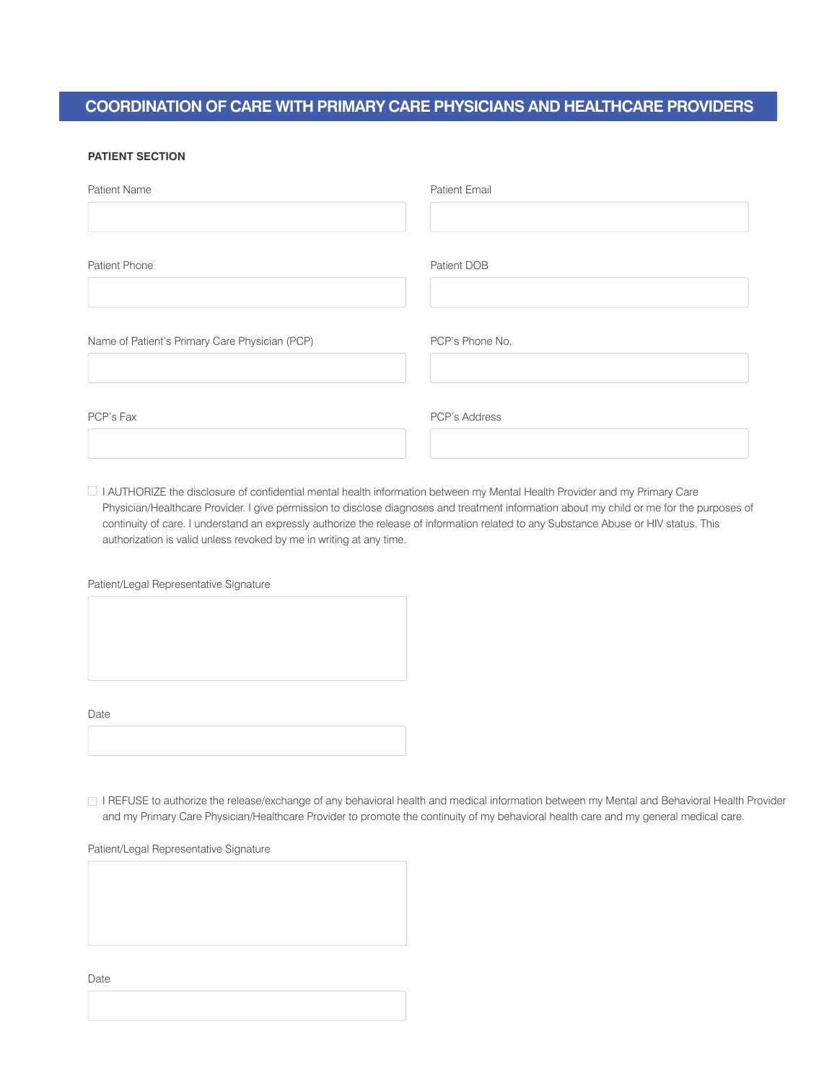## **COORDINATION OF CARE WITH PRIMARY CARE PHYSICIANS AND HEALTHCARE PROVIDERS**

## **PATIENT SECTION**

| Patient Name                                   | <b>Patient Email</b> |
|------------------------------------------------|----------------------|
| Patient Phone                                  | Patient DOB          |
| Name of Patient's Primary Care Physician (PCP) | PCP's Phone No.      |
| PCP's Fax                                      | PCP's Address        |

I AUTHORIZE the disclosure of confidential mental health information between my Mental Health Provider and my Primary Care Physician/Healthcare Provider. I give permission to disclose diagnoses and treatment information about my child or me for the purposes of continuity of care. I understand an expressly authorize the release of information related to any Substance Abuse or HIV status. This authorization is valid unless revoked by me in writing at any time.

Patient/Legal Representative Signature

Date

I REFUSE to authorize the release/exchange of any behavioral health and medical information between my Mental and Behavioral Health Provider and my Primary Care Physician/Healthcare Provider to promote the continuity of my behavioral health care and my general medical care.

Patient/Legal Representative Signature

Date